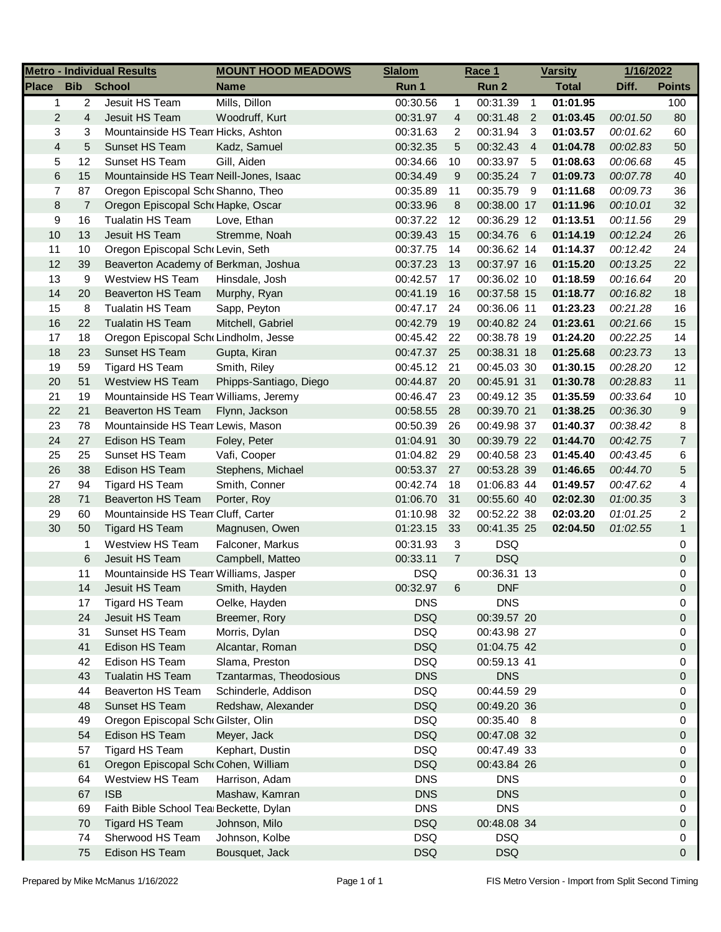|                |                | <b>Metro - Individual Results</b>       | <b>MOUNT HOOD MEADOWS</b>      | <b>Slalom</b>            |                | Race 1      |                | <b>Varsity</b> | 1/16/2022 |                |
|----------------|----------------|-----------------------------------------|--------------------------------|--------------------------|----------------|-------------|----------------|----------------|-----------|----------------|
| <b>Place</b>   | <b>Bib</b>     | <b>School</b>                           | <b>Name</b>                    | Run 1                    |                | Run 2       |                | <b>Total</b>   | Diff.     | <b>Points</b>  |
| $\mathbf{1}$   | $\overline{c}$ | Jesuit HS Team                          | Mills, Dillon                  | 00:30.56                 | $\mathbf{1}$   | 00:31.39    | $\overline{1}$ | 01:01.95       |           | 100            |
| $\overline{c}$ | 4              | Jesuit HS Team                          | Woodruff, Kurt                 | 00:31.97                 | 4              | 00:31.48    | $\overline{2}$ | 01:03.45       | 00:01.50  | 80             |
| 3              | 3              | Mountainside HS Tean Hicks, Ashton      |                                | 00:31.63                 | 2              | 00:31.94    | $\mathbf{3}$   | 01:03.57       | 00:01.62  | 60             |
| 4              | 5              | Sunset HS Team                          | Kadz, Samuel                   | 00:32.35                 | 5              | 00:32.43    | $\overline{4}$ | 01:04.78       | 00:02.83  | 50             |
| 5              | 12             | Sunset HS Team                          | Gill, Aiden                    | 00:34.66                 | 10             | 00:33.97    | - 5            | 01:08.63       | 00:06.68  | 45             |
| 6              | 15             | Mountainside HS Tean Neill-Jones, Isaac |                                | 00:34.49                 | 9              | 00:35.24    | $\overline{7}$ | 01:09.73       | 00:07.78  | 40             |
| 7              | 87             | Oregon Episcopal Scho Shanno, Theo      |                                | 00:35.89                 | 11             | 00:35.79    | - 9            | 01:11.68       | 00:09.73  | 36             |
| 8              | 7              | Oregon Episcopal Sch Hapke, Oscar       |                                | 00:33.96                 | 8              | 00:38.00 17 |                | 01:11.96       | 00:10.01  | 32             |
| 9              | 16             | Tualatin HS Team                        | Love, Ethan                    | 00:37.22                 | 12             | 00:36.29 12 |                | 01:13.51       | 00:11.56  | 29             |
| 10             | 13             | Jesuit HS Team                          | Stremme, Noah                  | 00:39.43                 | 15             | 00:34.76 6  |                | 01:14.19       | 00:12.24  | 26             |
| 11             | 10             | Oregon Episcopal Schr Levin, Seth       |                                | 00:37.75                 | 14             | 00:36.62 14 |                | 01:14.37       | 00:12.42  | 24             |
| 12             | 39             | Beaverton Academy of Berkman, Joshua    |                                | 00:37.23                 | 13             | 00:37.97 16 |                | 01:15.20       | 00:13.25  | 22             |
| 13             | 9              | Westview HS Team                        | Hinsdale, Josh                 | 00:42.57                 | 17             | 00:36.02 10 |                | 01:18.59       | 00:16.64  | 20             |
| 14             | 20             | <b>Beaverton HS Team</b>                | Murphy, Ryan                   | 00:41.19                 | 16             | 00:37.58 15 |                | 01:18.77       | 00:16.82  | 18             |
| 15             | 8              | <b>Tualatin HS Team</b>                 | Sapp, Peyton                   | 00:47.17                 | 24             | 00:36.06 11 |                | 01:23.23       | 00:21.28  | 16             |
| 16             | 22             | <b>Tualatin HS Team</b>                 | Mitchell, Gabriel              | 00:42.79                 | 19             | 00:40.82 24 |                | 01:23.61       | 00:21.66  | 15             |
| 17             | 18             | Oregon Episcopal Sch Lindholm, Jesse    |                                | 00:45.42                 | 22             | 00:38.78 19 |                | 01:24.20       | 00:22.25  | 14             |
| 18             | 23             | Sunset HS Team                          | Gupta, Kiran                   | 00:47.37                 | 25             | 00:38.31 18 |                | 01:25.68       | 00:23.73  | 13             |
| 19             | 59             | Tigard HS Team                          | Smith, Riley                   | 00:45.12                 | 21             | 00:45.03 30 |                | 01:30.15       | 00:28.20  | 12             |
| 20             | 51             | <b>Westview HS Team</b>                 | Phipps-Santiago, Diego         | 00:44.87                 | 20             | 00:45.91 31 |                | 01:30.78       | 00:28.83  | 11             |
| 21             | 19             | Mountainside HS Tean Williams, Jeremy   |                                | 00:46.47                 | 23             | 00:49.12 35 |                | 01:35.59       | 00:33.64  | 10             |
| 22             | 21             | <b>Beaverton HS Team</b>                | Flynn, Jackson                 | 00:58.55                 | 28             | 00:39.70 21 |                | 01:38.25       | 00:36.30  | 9              |
| 23             | 78             | Mountainside HS Tean Lewis, Mason       |                                | 00:50.39                 | 26             | 00:49.98 37 |                | 01:40.37       | 00:38.42  | 8              |
| 24             | 27             | Edison HS Team                          | Foley, Peter                   | 01:04.91                 | 30             | 00:39.79 22 |                | 01:44.70       | 00:42.75  | $\overline{7}$ |
| 25             | 25             | Sunset HS Team                          | Vafi, Cooper                   | 01:04.82                 | 29             | 00:40.58 23 |                | 01:45.40       | 00:43.45  | 6              |
| 26             | 38             | Edison HS Team                          | Stephens, Michael              | 00:53.37                 | 27             | 00:53.28 39 |                | 01:46.65       | 00:44.70  | 5              |
| 27             | 94             | Tigard HS Team                          | Smith, Conner                  | 00:42.74                 | 18             | 01:06.83 44 |                | 01:49.57       | 00:47.62  | 4              |
| 28             | 71             | <b>Beaverton HS Team</b>                | Porter, Roy                    | 01:06.70                 | 31             | 00:55.60 40 |                | 02:02.30       | 01:00.35  | 3              |
| 29             | 60             | Mountainside HS Tean Cluff, Carter      |                                | 01:10.98                 | 32             | 00:52.22 38 |                | 02:03.20       | 01:01.25  | 2              |
| 30             | 50             | <b>Tigard HS Team</b>                   | Magnusen, Owen                 | 01:23.15                 | 33             | 00:41.35 25 |                | 02:04.50       | 01:02.55  | $\mathbf{1}$   |
|                | 1              | Westview HS Team                        | Falconer, Markus               | 00:31.93                 | 3              | <b>DSQ</b>  |                |                |           | 0              |
|                | 6              | Jesuit HS Team                          | Campbell, Matteo               | 00:33.11                 | $\overline{7}$ | <b>DSQ</b>  |                |                |           | 0              |
|                | 11             | Mountainside HS Tean Williams, Jasper   |                                | <b>DSQ</b>               |                | 00:36.31 13 |                |                |           | 0              |
|                | 14             | Jesuit HS Team                          |                                | 00:32.97                 | 6              | <b>DNF</b>  |                |                |           | 0              |
|                | 17             | <b>Tigard HS Team</b>                   | Smith, Hayden<br>Oelke, Hayden | <b>DNS</b>               |                | <b>DNS</b>  |                |                |           | 0              |
|                | 24             | Jesuit HS Team                          | Breemer, Rory                  | <b>DSQ</b>               |                | 00:39.57 20 |                |                |           | 0              |
|                | 31             | Sunset HS Team                          | Morris, Dylan                  | <b>DSQ</b>               |                | 00:43.98 27 |                |                |           | 0              |
|                | 41             | Edison HS Team                          | Alcantar, Roman                | <b>DSQ</b>               |                | 01:04.75 42 |                |                |           | 0              |
|                | 42             | Edison HS Team                          | Slama, Preston                 | <b>DSQ</b>               |                | 00:59.13 41 |                |                |           | 0              |
|                | 43             | <b>Tualatin HS Team</b>                 | Tzantarmas, Theodosious        |                          |                | <b>DNS</b>  |                |                |           |                |
|                |                | <b>Beaverton HS Team</b>                | Schinderle, Addison            | <b>DNS</b><br><b>DSQ</b> |                | 00:44.59 29 |                |                |           | 0              |
|                | 44             | Sunset HS Team                          |                                | <b>DSQ</b>               |                |             |                |                |           | 0              |
|                | 48             | Oregon Episcopal SchoGilster, Olin      | Redshaw, Alexander             | <b>DSQ</b>               |                | 00:49.20 36 |                |                |           | 0              |
|                | 49             |                                         |                                |                          |                | 00:35.40 8  |                |                |           | 0              |
|                | 54             | Edison HS Team                          | Meyer, Jack                    | <b>DSQ</b>               |                | 00:47.08 32 |                |                |           | 0              |
|                | 57             | Tigard HS Team                          | Kephart, Dustin                | <b>DSQ</b>               |                | 00:47.49 33 |                |                |           | 0              |
|                | 61             | Oregon Episcopal Sch Cohen, William     |                                | <b>DSQ</b>               |                | 00:43.84 26 |                |                |           | 0              |
|                | 64             | Westview HS Team                        | Harrison, Adam                 | <b>DNS</b>               |                | <b>DNS</b>  |                |                |           | 0              |
|                | 67             | <b>ISB</b>                              | Mashaw, Kamran                 | <b>DNS</b>               |                | <b>DNS</b>  |                |                |           | 0              |
|                | 69             | Faith Bible School Tea Beckette, Dylan  |                                | <b>DNS</b>               |                | <b>DNS</b>  |                |                |           | 0              |
|                | 70             | <b>Tigard HS Team</b>                   | Johnson, Milo                  | <b>DSQ</b>               |                | 00:48.08 34 |                |                |           | 0              |
|                | 74             | Sherwood HS Team                        | Johnson, Kolbe                 | <b>DSQ</b>               |                | <b>DSQ</b>  |                |                |           | 0              |
|                | 75             | Edison HS Team                          | Bousquet, Jack                 | <b>DSQ</b>               |                | <b>DSQ</b>  |                |                |           | 0              |